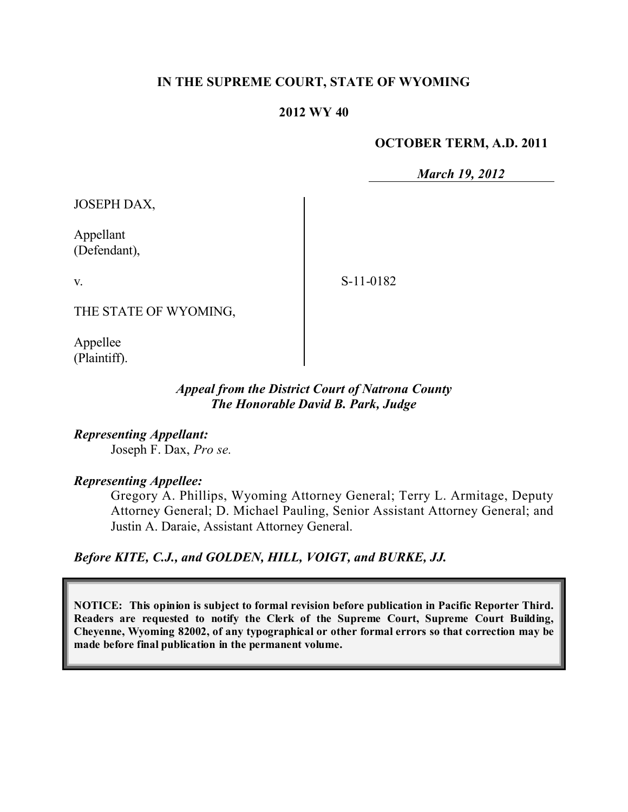### **IN THE SUPREME COURT, STATE OF WYOMING**

#### **2012 WY 40**

#### **OCTOBER TERM, A.D. 2011**

*March 19, 2012*

JOSEPH DAX,

Appellant (Defendant),

v.

S-11-0182

THE STATE OF WYOMING,

Appellee (Plaintiff).

### *Appeal from the District Court of Natrona County The Honorable David B. Park, Judge*

*Representing Appellant:* Joseph F. Dax, *Pro se.*

## *Representing Appellee:*

Gregory A. Phillips, Wyoming Attorney General; Terry L. Armitage, Deputy Attorney General; D. Michael Pauling, Senior Assistant Attorney General; and Justin A. Daraie, Assistant Attorney General.

*Before KITE, C.J., and GOLDEN, HILL, VOIGT, and BURKE, JJ.*

**NOTICE: This opinion is subject to formal revision before publication in Pacific Reporter Third. Readers are requested to notify the Clerk of the Supreme Court, Supreme Court Building, Cheyenne, Wyoming 82002, of any typographical or other formal errors so that correction may be made before final publication in the permanent volume.**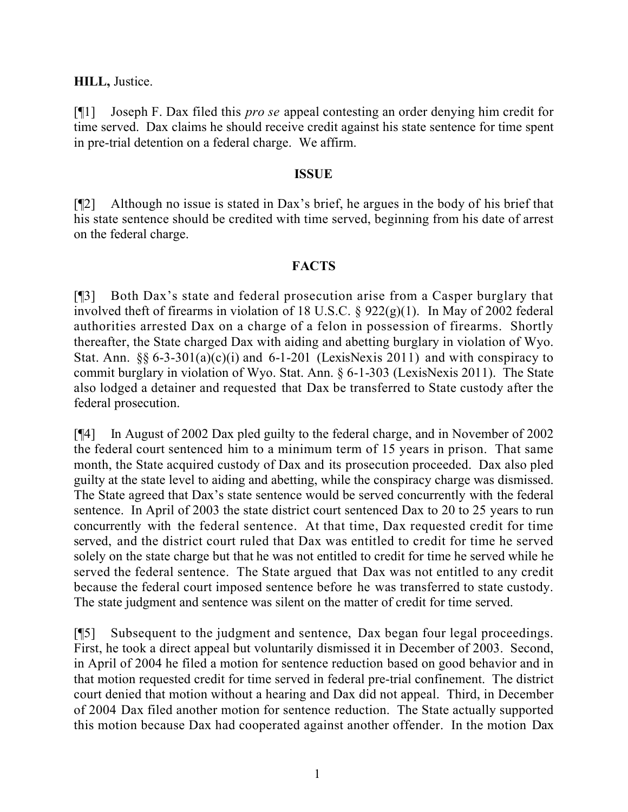## **HILL,** Justice.

[¶1] Joseph F. Dax filed this *pro se* appeal contesting an order denying him credit for time served. Dax claims he should receive credit against his state sentence for time spent in pre-trial detention on a federal charge. We affirm.

#### **ISSUE**

[¶2] Although no issue is stated in Dax's brief, he argues in the body of his brief that his state sentence should be credited with time served, beginning from his date of arrest on the federal charge.

### **FACTS**

[¶3] Both Dax's state and federal prosecution arise from a Casper burglary that involved theft of firearms in violation of 18 U.S.C. § 922(g)(1). In May of 2002 federal authorities arrested Dax on a charge of a felon in possession of firearms. Shortly thereafter, the State charged Dax with aiding and abetting burglary in violation of Wyo. Stat. Ann.  $\S6 6-3-301(a)(c)(i)$  and  $6-1-201$  (LexisNexis 2011) and with conspiracy to commit burglary in violation of Wyo. Stat. Ann. § 6-1-303 (LexisNexis 2011). The State also lodged a detainer and requested that Dax be transferred to State custody after the federal prosecution.

[¶4] In August of 2002 Dax pled guilty to the federal charge, and in November of 2002 the federal court sentenced him to a minimum term of 15 years in prison. That same month, the State acquired custody of Dax and its prosecution proceeded. Dax also pled guilty at the state level to aiding and abetting, while the conspiracy charge was dismissed. The State agreed that Dax's state sentence would be served concurrently with the federal sentence. In April of 2003 the state district court sentenced Dax to 20 to 25 years to run concurrently with the federal sentence. At that time, Dax requested credit for time served, and the district court ruled that Dax was entitled to credit for time he served solely on the state charge but that he was not entitled to credit for time he served while he served the federal sentence. The State argued that Dax was not entitled to any credit because the federal court imposed sentence before he was transferred to state custody. The state judgment and sentence was silent on the matter of credit for time served.

[¶5] Subsequent to the judgment and sentence, Dax began four legal proceedings. First, he took a direct appeal but voluntarily dismissed it in December of 2003. Second, in April of 2004 he filed a motion for sentence reduction based on good behavior and in that motion requested credit for time served in federal pre-trial confinement. The district court denied that motion without a hearing and Dax did not appeal. Third, in December of 2004 Dax filed another motion for sentence reduction. The State actually supported this motion because Dax had cooperated against another offender. In the motion Dax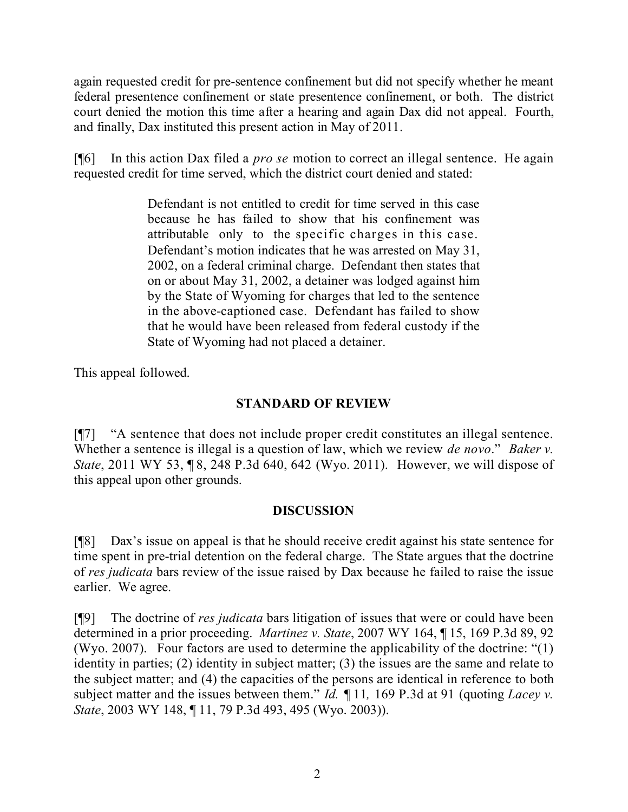again requested credit for pre-sentence confinement but did not specify whether he meant federal presentence confinement or state presentence confinement, or both. The district court denied the motion this time after a hearing and again Dax did not appeal. Fourth, and finally, Dax instituted this present action in May of 2011.

[¶6] In this action Dax filed a *pro se* motion to correct an illegal sentence. He again requested credit for time served, which the district court denied and stated:

> Defendant is not entitled to credit for time served in this case because he has failed to show that his confinement was attributable only to the specific charges in this case. Defendant's motion indicates that he was arrested on May 31, 2002, on a federal criminal charge. Defendant then states that on or about May 31, 2002, a detainer was lodged against him by the State of Wyoming for charges that led to the sentence in the above-captioned case. Defendant has failed to show that he would have been released from federal custody if the State of Wyoming had not placed a detainer.

This appeal followed.

# **STANDARD OF REVIEW**

[¶7] "A sentence that does not include proper credit constitutes an illegal sentence. Whether a sentence is illegal is a question of law, which we review *de novo*." *Baker v. State*, 2011 WY 53, ¶ 8, 248 P.3d 640, 642 (Wyo. 2011). However, we will dispose of this appeal upon other grounds.

# **DISCUSSION**

[¶8] Dax's issue on appeal is that he should receive credit against his state sentence for time spent in pre-trial detention on the federal charge. The State argues that the doctrine of *res judicata* bars review of the issue raised by Dax because he failed to raise the issue earlier. We agree.

[¶9] The doctrine of *res judicata* bars litigation of issues that were or could have been determined in a prior proceeding. *Martinez v. State*, 2007 WY 164, ¶ 15, 169 P.3d 89, 92 (Wyo. 2007). Four factors are used to determine the applicability of the doctrine: "(1) identity in parties; (2) identity in subject matter; (3) the issues are the same and relate to the subject matter; and (4) the capacities of the persons are identical in reference to both subject matter and the issues between them." *Id. ¶* 11*,* 169 P.3d at 91 (quoting *Lacey v. State*, 2003 WY 148, ¶ 11, 79 P.3d 493, 495 (Wyo. 2003)).